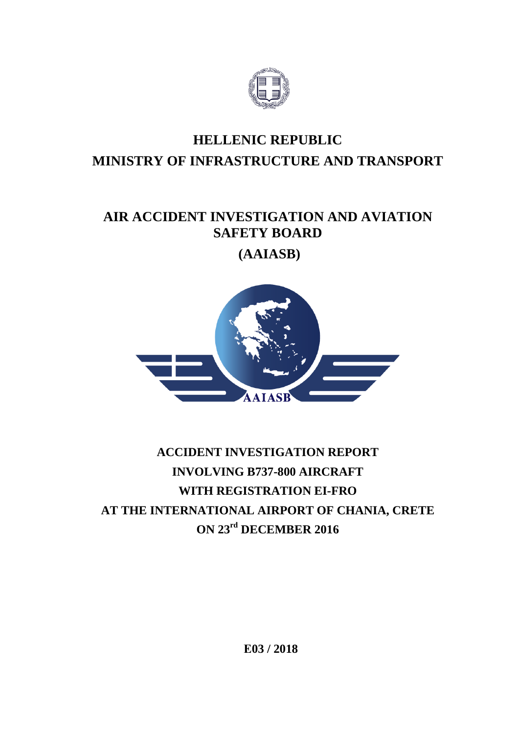

# **HELLENIC REPUBLIC MINISTRY OF INFRASTRUCTURE AND TRANSPORT**

# **AIR ACCIDENT INVESTIGATION AND AVIATION SAFETY BOARD**

**(AAIASB)**



# **ACCIDENT INVESTIGATION REPORT INVOLVING B737-800 AIRCRAFT WITH REGISTRATION EI-FRO AT THE INTERNATIONAL AIRPORT OF CHANIA, CRETE ON 23rd DECEMBER 2016**

 **Ε03 / 2018**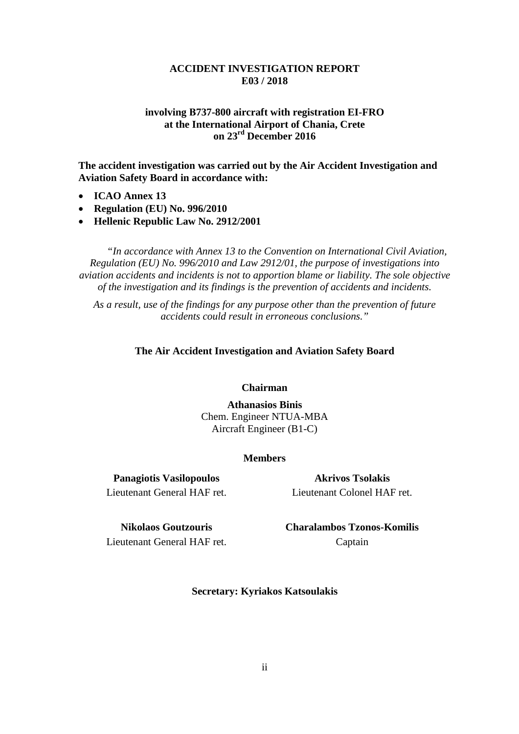#### **ACCIDENT INVESTIGATION REPORT Ε03 / 2018**

## **involving Β737-800 aircraft with registration EI-FRO at the International Airport of Chania, Crete on 23rd December 2016**

**The accident investigation was carried out by the Air Accident Investigation and Aviation Safety Board in accordance with:**

- **ICAO Annex 13**
- **Regulation (EU) No. 996/2010**
- **Hellenic Republic Law No. 2912/2001**

*"In accordance with Annex 13 to the Convention on International Civil Aviation, Regulation (EU) No. 996/2010 and Law 2912/01, the purpose of investigations into aviation accidents and incidents is not to apportion blame or liability. The sole objective of the investigation and its findings is the prevention of accidents and incidents.*

*As a result, use of the findings for any purpose other than the prevention of future accidents could result in erroneous conclusions."*

#### **The Air Accident Investigation and Aviation Safety Board**

#### **Chairman**

**Athanasios Binis** Chem. Engineer NTUA-MBA Aircraft Engineer (B1-C)

#### **Members**

**Panagiotis Vasilopoulos** Lieutenant General HAF ret.

**Akrivos Tsolakis** Lieutenant Colonel HAF ret.

**Nikolaos Goutzouris** Lieutenant General HAF ret. **Charalambos Tzonos-Komilis** Captain

**Secretary: Kyriakos Katsoulakis**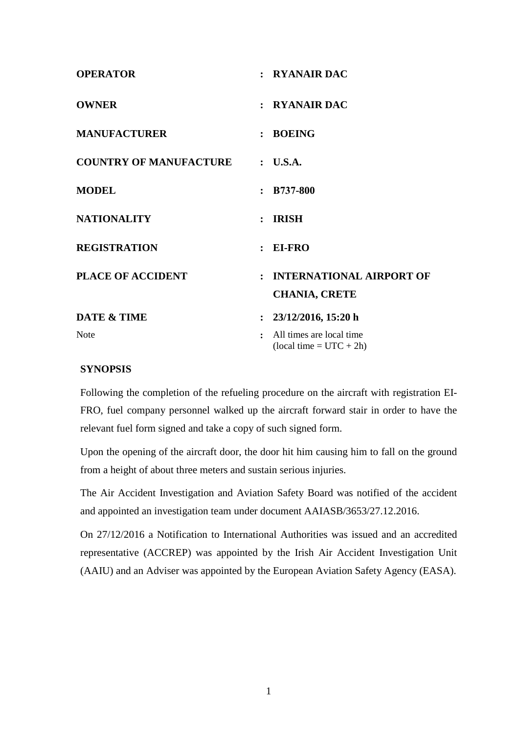| <b>OPERATOR</b>                        | : RYANAIR DAC                                                     |
|----------------------------------------|-------------------------------------------------------------------|
| <b>OWNER</b>                           | : RYANAIR DAC                                                     |
| <b>MANUFACTURER</b>                    | : BOEING                                                          |
| <b>COUNTRY OF MANUFACTURE : U.S.A.</b> |                                                                   |
| <b>MODEL</b>                           | $: B737-800$                                                      |
| <b>NATIONALITY</b>                     | $:$ IRISH                                                         |
| <b>REGISTRATION</b>                    | $: EI-FRO$                                                        |
| <b>PLACE OF ACCIDENT</b>               | : INTERNATIONAL AIRPORT OF<br><b>CHANIA, CRETE</b>                |
| <b>DATE &amp; TIME</b>                 | : $23/12/2016$ , 15:20 h                                          |
| <b>Note</b>                            | All times are local time<br>$\cdot$<br>$~(local time = UTC + 2h)$ |

# **SYNOPSIS**

Following the completion of the refueling procedure on the aircraft with registration EI-FRO, fuel company personnel walked up the aircraft forward stair in order to have the relevant fuel form signed and take a copy of such signed form.

Upon the opening of the aircraft door, the door hit him causing him to fall on the ground from a height of about three meters and sustain serious injuries.

The Air Accident Investigation and Aviation Safety Board was notified of the accident and appointed an investigation team under document AAIASB/3653/27.12.2016.

On 27/12/2016 a Notification to International Authorities was issued and an accredited representative (ACCREP) was appointed by the Irish Air Accident Investigation Unit (AAIU) and an Adviser was appointed by the European Aviation Safety Agency (EASA).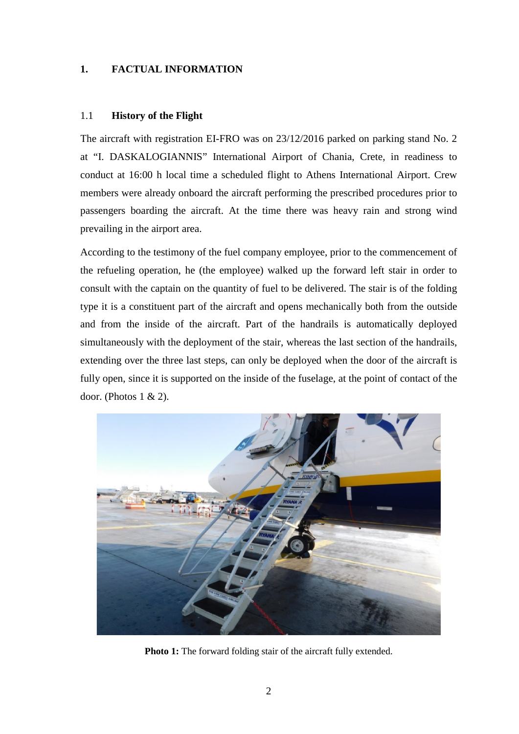# **1. FACTUAL INFORMATION**

# 1.1 **History of the Flight**

Τhe aircraft with registration EI-FRO was on 23/12/2016 parked on parking stand No. 2 at "I. DASKALOGIANNIS" International Airport of Chania, Crete, in readiness to conduct at 16:00 h local time a scheduled flight to Athens International Airport. Crew members were already onboard the aircraft performing the prescribed procedures prior to passengers boarding the aircraft. At the time there was heavy rain and strong wind prevailing in the airport area.

According to the testimony of the fuel company employee, prior to the commencement of the refueling operation, he (the employee) walked up the forward left stair in order to consult with the captain on the quantity of fuel to be delivered. The stair is of the folding type it is a constituent part of the aircraft and opens mechanically both from the outside and from the inside of the aircraft. Part of the handrails is automatically deployed simultaneously with the deployment of the stair, whereas the last section of the handrails, extending over the three last steps, can only be deployed when the door of the aircraft is fully open, since it is supported on the inside of the fuselage, at the point of contact of the door. (Photos  $1 \& 2$ ).



**Photo 1:** The forward folding stair of the aircraft fully extended.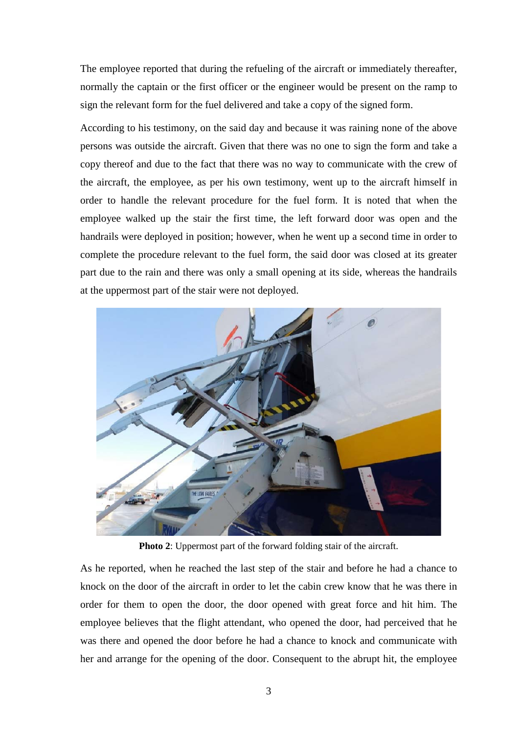The employee reported that during the refueling of the aircraft or immediately thereafter, normally the captain or the first officer or the engineer would be present on the ramp to sign the relevant form for the fuel delivered and take a copy of the signed form.

According to his testimony, on the said day and because it was raining none of the above persons was outside the aircraft. Given that there was no one to sign the form and take a copy thereof and due to the fact that there was no way to communicate with the crew of the aircraft, the employee, as per his own testimony, went up to the aircraft himself in order to handle the relevant procedure for the fuel form. It is noted that when the employee walked up the stair the first time, the left forward door was open and the handrails were deployed in position; however, when he went up a second time in order to complete the procedure relevant to the fuel form, the said door was closed at its greater part due to the rain and there was only a small opening at its side, whereas the handrails at the uppermost part of the stair were not deployed.



**Photo 2**: Uppermost part of the forward folding stair of the aircraft.

As he reported, when he reached the last step of the stair and before he had a chance to knock on the door of the aircraft in order to let the cabin crew know that he was there in order for them to open the door, the door opened with great force and hit him. The employee believes that the flight attendant, who opened the door, had perceived that he was there and opened the door before he had a chance to knock and communicate with her and arrange for the opening of the door. Consequent to the abrupt hit, the employee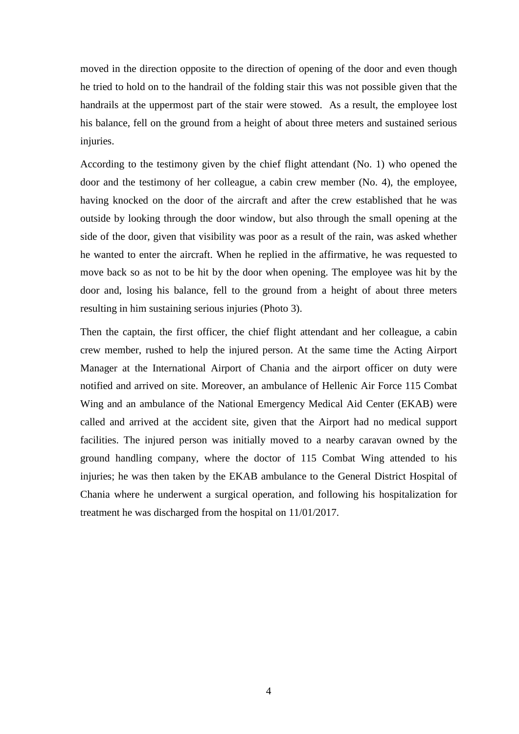moved in the direction opposite to the direction of opening of the door and even though he tried to hold on to the handrail of the folding stair this was not possible given that the handrails at the uppermost part of the stair were stowed. As a result, the employee lost his balance, fell on the ground from a height of about three meters and sustained serious injuries.

According to the testimony given by the chief flight attendant (No. 1) who opened the door and the testimony of her colleague, a cabin crew member (No. 4), the employee, having knocked on the door of the aircraft and after the crew established that he was outside by looking through the door window, but also through the small opening at the side of the door, given that visibility was poor as a result of the rain, was asked whether he wanted to enter the aircraft. When he replied in the affirmative, he was requested to move back so as not to be hit by the door when opening. The employee was hit by the door and, losing his balance, fell to the ground from a height of about three meters resulting in him sustaining serious injuries (Photo 3).

Then the captain, the first officer, the chief flight attendant and her colleague, a cabin crew member, rushed to help the injured person. At the same time the Acting Airport Manager at the International Airport of Chania and the airport officer on duty were notified and arrived on site. Moreover, an ambulance of Hellenic Air Force 115 Combat Wing and an ambulance of the National Emergency Medical Aid Center (EKAB) were called and arrived at the accident site, given that the Airport had no medical support facilities. The injured person was initially moved to a nearby caravan owned by the ground handling company, where the doctor of 115 Combat Wing attended to his injuries; he was then taken by the EKAB ambulance to the General District Hospital of Chania where he underwent a surgical operation, and following his hospitalization for treatment he was discharged from the hospital on 11/01/2017.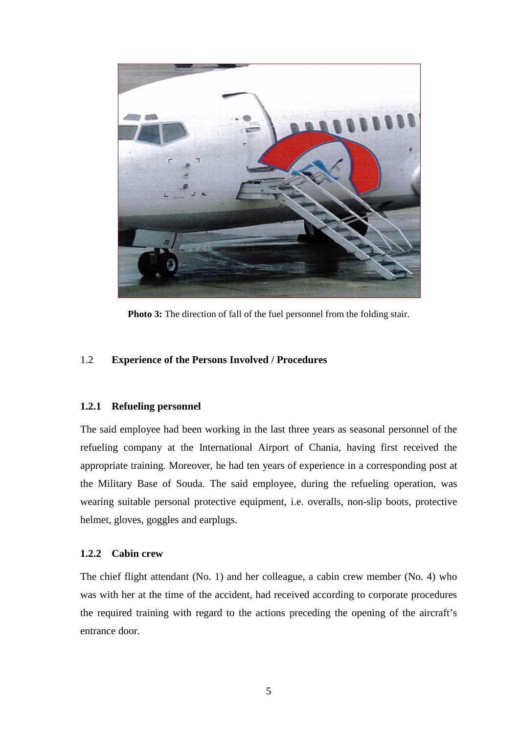

**Photo 3:** The direction of fall of the fuel personnel from the folding stair.

### 1.2 **Experience of the Persons Involved / Procedures**

#### **1.2.1 Refueling personnel**

The said employee had been working in the last three years as seasonal personnel of the refueling company at the International Airport of Chania, having first received the appropriate training. Moreover, he had ten years of experience in a corresponding post at the Military Base of Souda. The said employee, during the refueling operation, was wearing suitable personal protective equipment, i.e. overalls, non-slip boots, protective helmet, gloves, goggles and earplugs.

### **1.2.2 Cabin crew**

The chief flight attendant (No. 1) and her colleague, a cabin crew member (No. 4) who was with her at the time of the accident, had received according to corporate procedures the required training with regard to the actions preceding the opening of the aircraft's entrance door.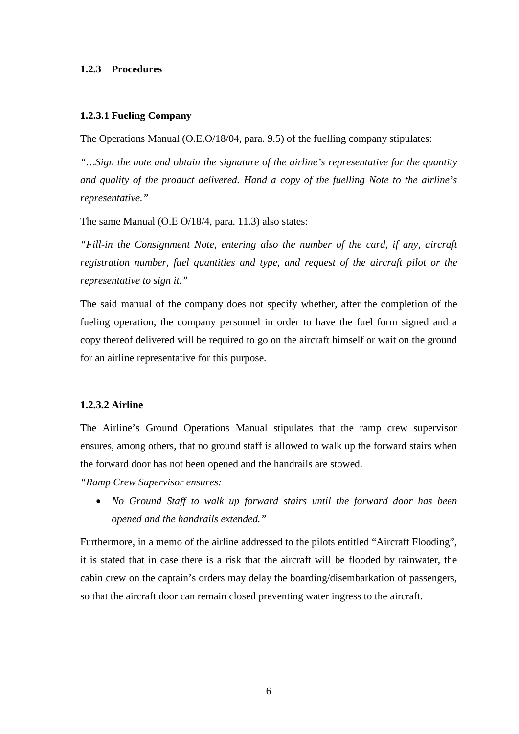#### **1.2.3 Procedures**

#### **1.2.3.1 Fueling Company**

The Operations Manual (Ο.Ε.Ο/18/04, para. 9.5) of the fuelling company stipulates:

*"…Sign the note and obtain the signature of the airline's representative for the quantity and quality of the product delivered. Hand a copy of the fuelling Note to the airline's representative."* 

The same Manual (Ο.Ε Ο/18/4, para. 11.3) also states:

*"Fill-in the Consignment Note, entering also the number of the card, if any, aircraft registration number, fuel quantities and type, and request of the aircraft pilot or the representative to sign it."* 

The said manual of the company does not specify whether, after the completion of the fueling operation, the company personnel in order to have the fuel form signed and a copy thereof delivered will be required to go on the aircraft himself or wait on the ground for an airline representative for this purpose.

### **1.2.3.2 Airline**

The Airline's Ground Operations Manual stipulates that the ramp crew supervisor ensures, among others, that no ground staff is allowed to walk up the forward stairs when the forward door has not been opened and the handrails are stowed.

*"Ramp Crew Supervisor ensures:*

• *No Ground Staff to walk up forward stairs until the forward door has been opened and the handrails extended."*

Furthermore, in a memo of the airline addressed to the pilots entitled "Aircraft Flooding", it is stated that in case there is a risk that the aircraft will be flooded by rainwater, the cabin crew on the captain's orders may delay the boarding/disembarkation of passengers, so that the aircraft door can remain closed preventing water ingress to the aircraft.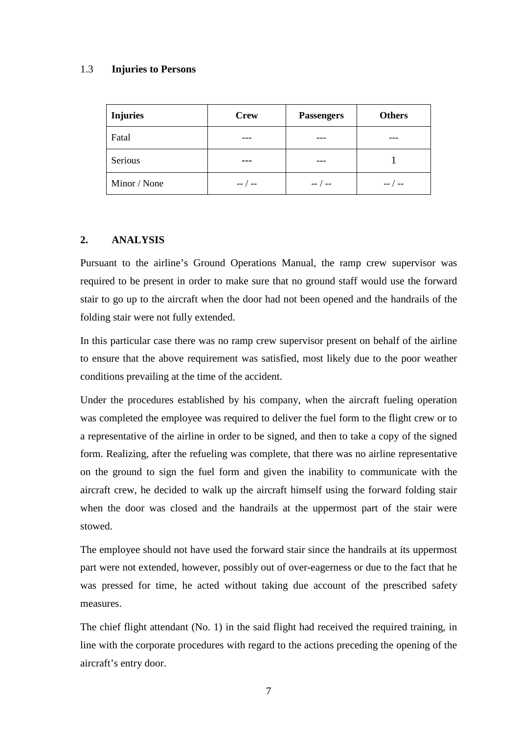## 1.3 **Injuries to Persons**

| <b>Injuries</b> | <b>Crew</b> | <b>Passengers</b> | <b>Others</b> |
|-----------------|-------------|-------------------|---------------|
| Fatal           | ---         |                   |               |
| Serious         |             |                   |               |
| Minor / None    | --          | $--$ / $--$       |               |

# **2. ANALYSIS**

Pursuant to the airline's Ground Operations Manual, the ramp crew supervisor was required to be present in order to make sure that no ground staff would use the forward stair to go up to the aircraft when the door had not been opened and the handrails of the folding stair were not fully extended.

In this particular case there was no ramp crew supervisor present on behalf of the airline to ensure that the above requirement was satisfied, most likely due to the poor weather conditions prevailing at the time of the accident.

Under the procedures established by his company, when the aircraft fueling operation was completed the employee was required to deliver the fuel form to the flight crew or to a representative of the airline in order to be signed, and then to take a copy of the signed form. Realizing, after the refueling was complete, that there was no airline representative on the ground to sign the fuel form and given the inability to communicate with the aircraft crew, he decided to walk up the aircraft himself using the forward folding stair when the door was closed and the handrails at the uppermost part of the stair were stowed.

The employee should not have used the forward stair since the handrails at its uppermost part were not extended, however, possibly out of over-eagerness or due to the fact that he was pressed for time, he acted without taking due account of the prescribed safety measures.

The chief flight attendant (No. 1) in the said flight had received the required training, in line with the corporate procedures with regard to the actions preceding the opening of the aircraft's entry door.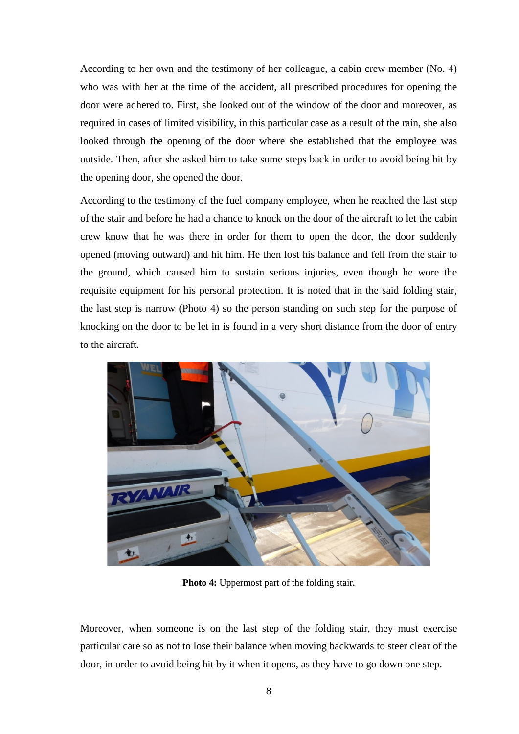According to her own and the testimony of her colleague, a cabin crew member (No. 4) who was with her at the time of the accident, all prescribed procedures for opening the door were adhered to. First, she looked out of the window of the door and moreover, as required in cases of limited visibility, in this particular case as a result of the rain, she also looked through the opening of the door where she established that the employee was outside. Then, after she asked him to take some steps back in order to avoid being hit by the opening door, she opened the door.

According to the testimony of the fuel company employee, when he reached the last step of the stair and before he had a chance to knock on the door of the aircraft to let the cabin crew know that he was there in order for them to open the door, the door suddenly opened (moving outward) and hit him. He then lost his balance and fell from the stair to the ground, which caused him to sustain serious injuries, even though he wore the requisite equipment for his personal protection. It is noted that in the said folding stair, the last step is narrow (Photo 4) so the person standing on such step for the purpose of knocking on the door to be let in is found in a very short distance from the door of entry to the aircraft.



**Photo 4:** Uppermost part of the folding stair**.**

Moreover, when someone is on the last step of the folding stair, they must exercise particular care so as not to lose their balance when moving backwards to steer clear of the door, in order to avoid being hit by it when it opens, as they have to go down one step.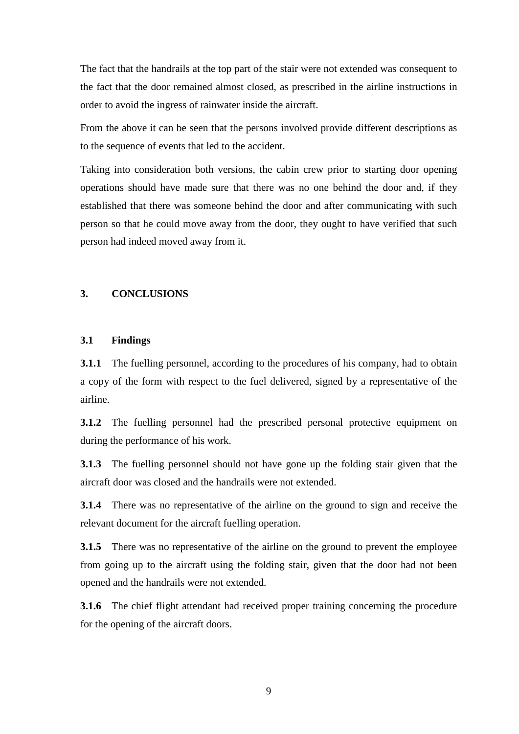The fact that the handrails at the top part of the stair were not extended was consequent to the fact that the door remained almost closed, as prescribed in the airline instructions in order to avoid the ingress of rainwater inside the aircraft.

From the above it can be seen that the persons involved provide different descriptions as to the sequence of events that led to the accident.

Taking into consideration both versions, the cabin crew prior to starting door opening operations should have made sure that there was no one behind the door and, if they established that there was someone behind the door and after communicating with such person so that he could move away from the door, they ought to have verified that such person had indeed moved away from it.

#### **3. CONCLUSIONS**

#### **3.1 Findings**

**3.1.1** The fuelling personnel, according to the procedures of his company, had to obtain a copy of the form with respect to the fuel delivered, signed by a representative of the airline.

**3.1.2** The fuelling personnel had the prescribed personal protective equipment on during the performance of his work.

**3.1.3** The fuelling personnel should not have gone up the folding stair given that the aircraft door was closed and the handrails were not extended.

**3.1.4** There was no representative of the airline on the ground to sign and receive the relevant document for the aircraft fuelling operation.

**3.1.5** There was no representative of the airline on the ground to prevent the employee from going up to the aircraft using the folding stair, given that the door had not been opened and the handrails were not extended.

**3.1.6** The chief flight attendant had received proper training concerning the procedure for the opening of the aircraft doors.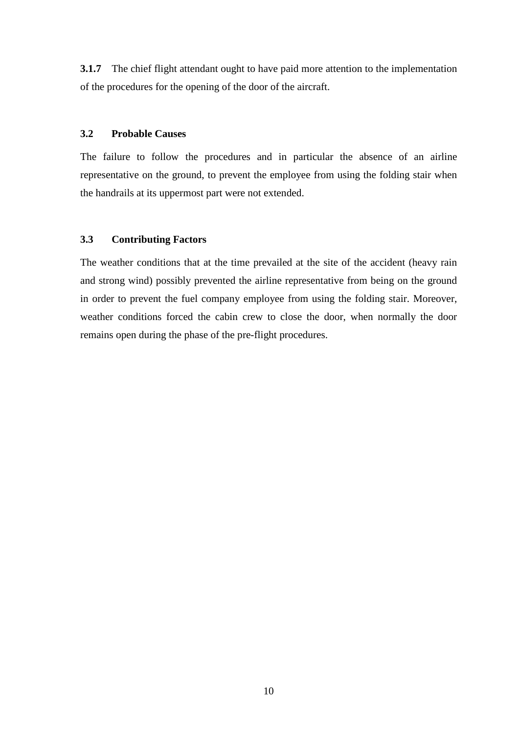**3.1.7** The chief flight attendant ought to have paid more attention to the implementation of the procedures for the opening of the door of the aircraft.

## **3.2 Probable Causes**

The failure to follow the procedures and in particular the absence of an airline representative on the ground, to prevent the employee from using the folding stair when the handrails at its uppermost part were not extended.

# **3.3 Contributing Factors**

The weather conditions that at the time prevailed at the site of the accident (heavy rain and strong wind) possibly prevented the airline representative from being on the ground in order to prevent the fuel company employee from using the folding stair. Moreover, weather conditions forced the cabin crew to close the door, when normally the door remains open during the phase of the pre-flight procedures.